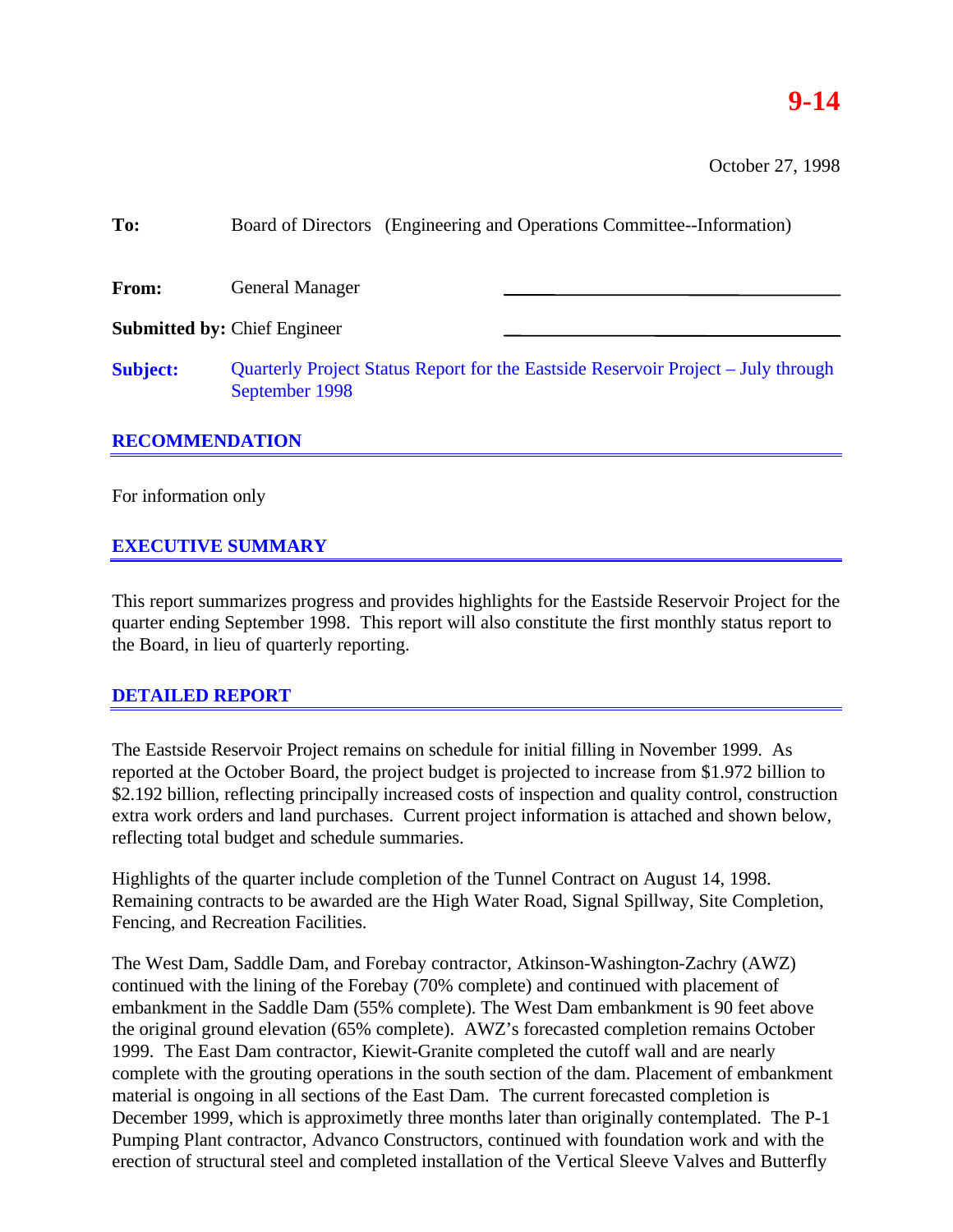## **9-14**

October 27, 1998

| To:                   | Board of Directors (Engineering and Operations Committee--Information)                              |
|-----------------------|-----------------------------------------------------------------------------------------------------|
| From:                 | <b>General Manager</b>                                                                              |
|                       | <b>Submitted by: Chief Engineer</b>                                                                 |
| <b>Subject:</b>       | Quarterly Project Status Report for the Eastside Reservoir Project – July through<br>September 1998 |
| <b>RECOMMENDATION</b> |                                                                                                     |

# For information only

#### **EXECUTIVE SUMMARY**

This report summarizes progress and provides highlights for the Eastside Reservoir Project for the quarter ending September 1998. This report will also constitute the first monthly status report to the Board, in lieu of quarterly reporting.

#### **DETAILED REPORT**

The Eastside Reservoir Project remains on schedule for initial filling in November 1999. As reported at the October Board, the project budget is projected to increase from \$1.972 billion to \$2.192 billion, reflecting principally increased costs of inspection and quality control, construction extra work orders and land purchases. Current project information is attached and shown below, reflecting total budget and schedule summaries.

Highlights of the quarter include completion of the Tunnel Contract on August 14, 1998. Remaining contracts to be awarded are the High Water Road, Signal Spillway, Site Completion, Fencing, and Recreation Facilities.

The West Dam, Saddle Dam, and Forebay contractor, Atkinson-Washington-Zachry (AWZ) continued with the lining of the Forebay (70% complete) and continued with placement of embankment in the Saddle Dam (55% complete). The West Dam embankment is 90 feet above the original ground elevation (65% complete). AWZ's forecasted completion remains October 1999. The East Dam contractor, Kiewit-Granite completed the cutoff wall and are nearly complete with the grouting operations in the south section of the dam. Placement of embankment material is ongoing in all sections of the East Dam. The current forecasted completion is December 1999, which is approximetly three months later than originally contemplated. The P-1 Pumping Plant contractor, Advanco Constructors, continued with foundation work and with the erection of structural steel and completed installation of the Vertical Sleeve Valves and Butterfly